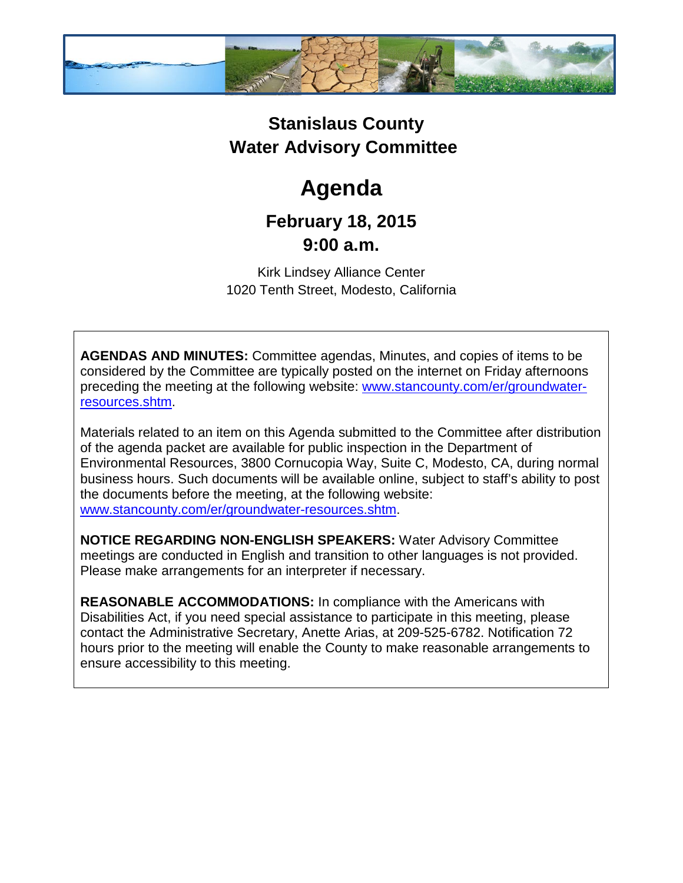

## **Stanislaus County Water Advisory Committee**

# **Agenda**

### **February 18, 2015 9:00 a.m.**

Kirk Lindsey Alliance Center 1020 Tenth Street, Modesto, California

**AGENDAS AND MINUTES:** Committee agendas, Minutes, and copies of items to be considered by the Committee are typically posted on the internet on Friday afternoons preceding the meeting at the following website: [www.stancounty.com/er/groundwater](http://www.stancounty.com/er/groundwater-resources.shtm)[resources.shtm.](http://www.stancounty.com/er/groundwater-resources.shtm)

Materials related to an item on this Agenda submitted to the Committee after distribution of the agenda packet are available for public inspection in the Department of Environmental Resources, 3800 Cornucopia Way, Suite C, Modesto, CA, during normal business hours. Such documents will be available online, subject to staff's ability to post the documents before the meeting, at the following website: [www.stancounty.com/er/groundwater-resources.shtm.](http://www.stancounty.com/er/groundwater-resources.shtm)

**NOTICE REGARDING NON-ENGLISH SPEAKERS:** Water Advisory Committee meetings are conducted in English and transition to other languages is not provided. Please make arrangements for an interpreter if necessary.

**REASONABLE ACCOMMODATIONS:** In compliance with the Americans with Disabilities Act, if you need special assistance to participate in this meeting, please contact the Administrative Secretary, Anette Arias, at 209-525-6782. Notification 72 hours prior to the meeting will enable the County to make reasonable arrangements to ensure accessibility to this meeting.